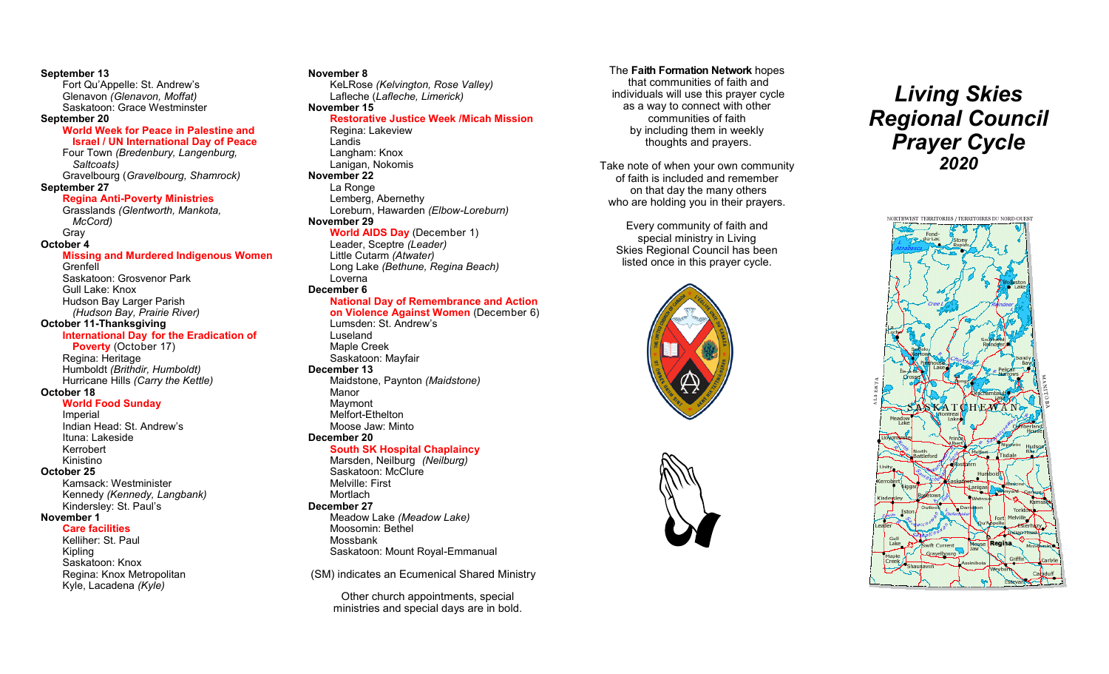**September 13** Fort Qu'Appelle: St. Andrew's Glenavon *(Glenavon, Moffat)* Saskatoon: Grace Westminster **September 20 World Week for Peace in Palestine and Israel / UN International Day of Peace** Four Town *(Bredenbury, Langenburg, Saltcoats)* Gravelbourg (*Gravelbourg, Shamrock)*  **September 27 Regina Anti-Poverty Ministries** Grasslands *(Glentworth, Mankota, McCord)* Gray **October 4 Missing and Murdered Indigenous Women** Grenfell Saskatoon: Grosvenor Park Gull Lake: Knox Hudson Bay Larger Parish *(Hudson Bay, Prairie River)* **October 11-Thanksgiving International Day for the Eradication of Poverty** (October 17) Regina: Heritage Humboldt *(Brithdir, Humboldt)* Hurricane Hills *(Carry the Kettle)*  **October 18 World Food Sunday**  Imperial Indian Head: St. Andrew's Ituna: Lakeside Kerrobert Kinistino **October 25** Kamsack: Westminister Kennedy *(Kennedy, Langbank)* Kindersley: St. Paul's **November 1 Care facilities** Kelliher: St. Paul Kipling Saskatoon: Knox Regina: Knox Metropolitan Kyle, Lacadena *(Kyle)* 

#### **November 8**

KeLRose *(Kelvington, Rose Valley)* Lafleche (*Lafleche, Limerick)* **November 15 Restorative Justice Week /Micah Mission** Regina: Lakeview Landis Langham: Knox

### Lanigan, Nokomis

**November 22** La Ronge Lemberg, Abernethy Loreburn, Hawarden *(Elbow-Loreburn)*  **November 29**

## **World AIDS Day** (December 1)

Leader, Sceptre *(Leader)* Little Cutarm *(Atwater)* Long Lake *(Bethune, Regina Beach)*  Loverna

#### **December 6**

**National Day of Remembrance and Action on Violence Against Women** (December 6) Lumsden: St. Andrew's Luseland Maple Creek Saskatoon: Mayfair **December 13** Maidstone, Paynton *(Maidstone)* Manor Maymont Melfort-Ethelton Moose Jaw: Minto **December 20 South SK Hospital Chaplaincy** Marsden, Neilburg *(Neilburg)*

Saskatoon: McClure Melville: First Mortlach **December 27** Meadow Lake *(Meadow Lake)*  Moosomin: Bethel Mossbank Saskatoon: Mount Royal-Emmanual

(SM) indicates an Ecumenical Shared Ministry

Other church appointments, special ministries and special days are in bold.

#### The **Faith Formation Network** hopes

that communities of faith and individuals will use this prayer cycle as a way to connect with other communities of faith by including them in weekly thoughts and prayers.

Take note of when your own community of faith is included and remember on that day the many others who are holding you in their prayers.

Every community of faith and special ministry in Living Skies Regional Council has been listed once in this prayer cycle.





# *Living Skies Regional Council Prayer Cycle 2020*